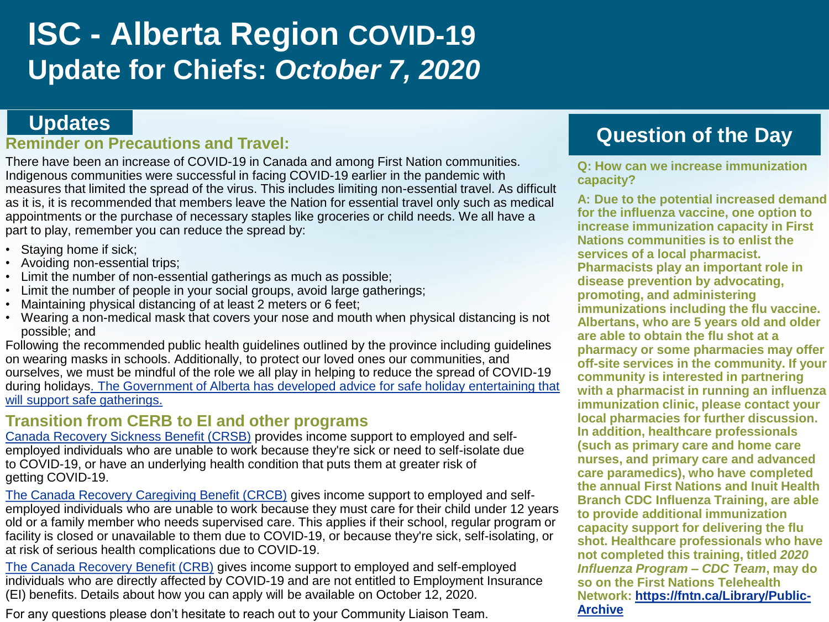# **ISC - Alberta Region COVID-19 Update for Chiefs:** *October 7, 2020*

#### **Reminder on Precautions and Travel:**

There have been an increase of COVID-19 in Canada and among First Nation communities. Indigenous communities were successful in facing COVID-19 earlier in the pandemic with measures that limited the spread of the virus. This includes limiting non-essential travel. As difficult as it is, it is recommended that members leave the Nation for essential travel only such as medical appointments or the purchase of necessary staples like groceries or child needs. We all have a part to play, remember you can reduce the spread by:

- Staying home if sick;
- Avoiding non-essential trips;
- Limit the number of non-essential gatherings as much as possible;
- Limit the number of people in your social groups, avoid large gatherings;
- Maintaining physical distancing of at least 2 meters or 6 feet;
- Wearing a non-medical mask that covers your nose and mouth when physical distancing is not possible; and

Following the recommended public health guidelines outlined by the province including guidelines on wearing masks in schools. Additionally, to protect our loved ones our communities, and ourselves, we must be mindful of the role we all play in helping to reduce the spread of COVID-19 [during holidays. The Government of Alberta has developed advice for safe holiday entertaining that](https://www.alberta.ca/assets/documents/covid-19-relaunch-guidance-safe-holiday-entertaining.pdf) will support safe gatherings.

#### **Transition from CERB to EI and other programs**

[Canada Recovery Sickness Benefit \(CRSB\)](https://www.canada.ca/en/revenue-agency/services/benefits/recovery-sickness-benefit.html) provides income support to employed and selfemployed individuals who are unable to work because they're sick or need to self-isolate due to COVID-19, or have an underlying health condition that puts them at greater risk of getting COVID-19.

[The Canada Recovery Caregiving Benefit \(CRCB\)](https://www.canada.ca/en/revenue-agency/services/benefits/recovery-caregiving-benefit.html) gives income support to employed and selfemployed individuals who are unable to work because they must care for their child under 12 years old or a family member who needs supervised care. This applies if their school, regular program or facility is closed or unavailable to them due to COVID-19, or because they're sick, self-isolating, or at risk of serious health complications due to COVID-19.

[The Canada Recovery Benefit \(CRB\)](https://www.canada.ca/en/revenue-agency/services/benefits/recovery-benefit.html) gives income support to employed and self-employed individuals who are directly affected by COVID-19 and are not entitled to Employment Insurance (EI) benefits. Details about how you can apply will be available on October 12, 2020.

For any questions please don't hesitate to reach out to your Community Liaison Team.

# **Updates Question of the Day**

**Q: How can we increase immunization capacity?**

**A: Due to the potential increased demand for the influenza vaccine, one option to increase immunization capacity in First Nations communities is to enlist the services of a local pharmacist. Pharmacists play an important role in disease prevention by advocating, promoting, and administering immunizations including the flu vaccine. Albertans, who are 5 years old and older are able to obtain the flu shot at a pharmacy or some pharmacies may offer off-site services in the community. If your community is interested in partnering with a pharmacist in running an influenza immunization clinic, please contact your local pharmacies for further discussion. In addition, healthcare professionals (such as primary care and home care nurses, and primary care and advanced care paramedics), who have completed the annual First Nations and Inuit Health Branch CDC Influenza Training, are able to provide additional immunization capacity support for delivering the flu shot. Healthcare professionals who have not completed this training, titled** *2020 Influenza Program – CDC Team***, may do so on the First Nations Telehealth [Network: https://fntn.ca/Library/Public-](https://fntn.ca/Library/Public-Archive)Archive**